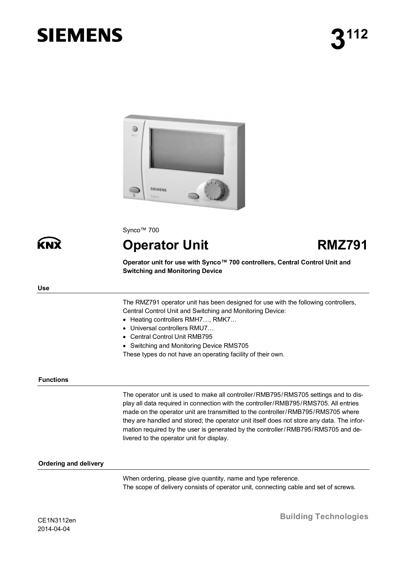# **SIEMENS**



Synco™ 700

**Operator Unit RMZ791**

**Operator unit for use with Synco™ 700 controllers, Central Control Unit and Switching and Monitoring Device**

#### **Use**

KN

The RMZ791 operator unit has been designed for use with the following controllers, Central Control Unit and Switching and Monitoring Device:

- · Heating controllers RMH7…, RMK7…
- · Universal controllers RMU7…
- · Central Control Unit RMB795
- · Switching and Monitoring Device RMS705

These types do not have an operating facility of their own.

#### **Functions**

The operator unit is used to make all controller/RMB795/RMS705 settings and to display all data required in connection with the controller/RMB795/RMS705. All entries made on the operator unit are transmitted to the controller/RMB795/RMS705 where they are handled and stored; the operator unit itself does not store any data. The information required by the user is generated by the controller/RMB795/RMS705 and delivered to the operator unit for display.

#### **Ordering and delivery**

When ordering, please give quantity, name and type reference. The scope of delivery consists of operator unit, connecting cable and set of screws.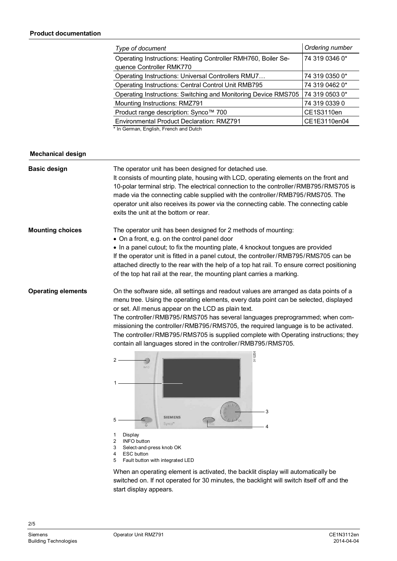| Type of document                                                                          | Ordering number |
|-------------------------------------------------------------------------------------------|-----------------|
| Operating Instructions: Heating Controller RMH760, Boiler Se-<br>quence Controller RMK770 | 74 319 0346 0*  |
| Operating Instructions: Universal Controllers RMU7                                        | 74 319 0350 0*  |
| Operating Instructions: Central Control Unit RMB795                                       | 74 319 0462 0*  |
| Operating Instructions: Switching and Monitoring Device RMS705                            | 74 319 0503 0*  |
| Mounting Instructions: RMZ791                                                             | 74 319 0339 0   |
| Product range description: Synco™ 700                                                     | CE1S3110en      |
| <b>Environmental Product Declaration: RMZ791</b>                                          | CE1E3110en04    |

\* In German, English, French and Dutch

#### **Mechanical design**

| <b>Basic design</b>       | The operator unit has been designed for detached use.<br>It consists of mounting plate, housing with LCD, operating elements on the front and<br>10-polar terminal strip. The electrical connection to the controller/RMB795/RMS705 is<br>made via the connecting cable supplied with the controller/RMB795/RMS705. The<br>operator unit also receives its power via the connecting cable. The connecting cable<br>exits the unit at the bottom or rear.                                                                                                                                                                                                                                           |
|---------------------------|----------------------------------------------------------------------------------------------------------------------------------------------------------------------------------------------------------------------------------------------------------------------------------------------------------------------------------------------------------------------------------------------------------------------------------------------------------------------------------------------------------------------------------------------------------------------------------------------------------------------------------------------------------------------------------------------------|
| <b>Mounting choices</b>   | The operator unit has been designed for 2 methods of mounting:<br>• On a front, e.g. on the control panel door<br>• In a panel cutout; to fix the mounting plate, 4 knockout tongues are provided<br>If the operator unit is fitted in a panel cutout, the controller/RMB795/RMS705 can be<br>attached directly to the rear with the help of a top hat rail. To ensure correct positioning<br>of the top hat rail at the rear, the mounting plant carries a marking.                                                                                                                                                                                                                               |
| <b>Operating elements</b> | On the software side, all settings and readout values are arranged as data points of a<br>menu tree. Using the operating elements, every data point can be selected, displayed<br>or set. All menus appear on the LCD as plain text.<br>The controller/RMB795/RMS705 has several languages preprogrammed; when com-<br>missioning the controller/RMB795/RMS705, the required language is to be activated.<br>The controller/RMB795/RMS705 is supplied complete with Operating instructions; they<br>contain all languages stored in the controller/RMB795/RMS705.<br>3112208<br>2<br><b>INFO</b><br>3<br><b>SIEMENS</b><br>5<br>Synco <sup>®</sup><br>4<br>1<br>Display<br>2<br><b>INFO button</b> |
|                           | 3<br>Select-and-press knob OK<br><b>ESC</b> button<br>4<br>5<br>Fault button with integrated LED                                                                                                                                                                                                                                                                                                                                                                                                                                                                                                                                                                                                   |
|                           | When an operating element is activated, the backlit display will automatically be                                                                                                                                                                                                                                                                                                                                                                                                                                                                                                                                                                                                                  |

switched on. If not operated for 30 minutes, the backlight will switch itself off and the start display appears.

2/5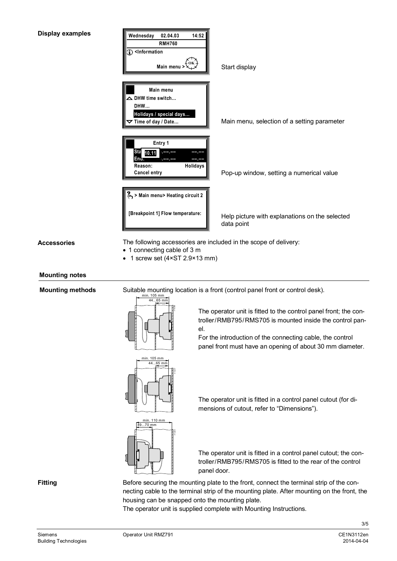

**Accessories**

- · 1 connecting cable of 3 m
- 1 screw set (4×ST 2.9×13 mm)

# **Mounting notes**

 **Mounting methods**





The operator unit is fitted to the control panel front; the controller/RMB795/RMS705 is mounted inside the control panel.

For the introduction of the connecting cable, the control panel front must have an opening of about 30 mm diameter.



The operator unit is fitted in a control panel cutout (for dimensions of cutout, refer to "Dimensions").



The operator unit is fitted in a control panel cutout; the controller/RMB795/RMS705 is fitted to the rear of the control panel door.

**Fitting**

Before securing the mounting plate to the front, connect the terminal strip of the connecting cable to the terminal strip of the mounting plate. After mounting on the front, the housing can be snapped onto the mounting plate.

The operator unit is supplied complete with Mounting Instructions.

3/5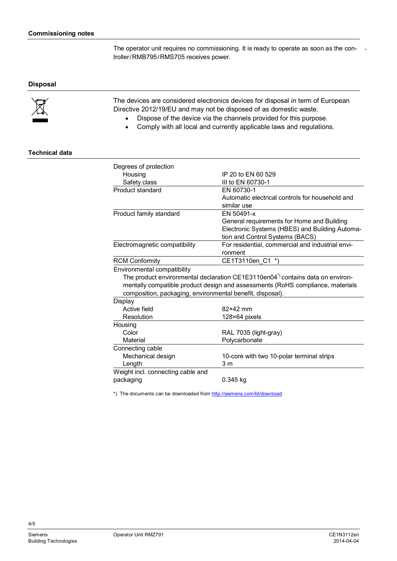The operator unit requires no commissioning. It is ready to operate as soon as the controller/RMB795/RMS705 receives power.

## **Disposal**



The devices are considered electronics devices for disposal in term of European Directive 2012/19/EU and may not be disposed of as domestic waste.

- · Dispose of the device via the channels provided for this purpose.
- · Comply with all local and currently applicable laws and regulations.

## **Technical data**

| Degrees of protection                                                                       |                                                  |  |
|---------------------------------------------------------------------------------------------|--------------------------------------------------|--|
| Housing                                                                                     | IP 20 to FN 60 529                               |  |
| Safety class                                                                                | III to EN 60730-1                                |  |
| Product standard                                                                            | EN 60730-1                                       |  |
|                                                                                             | Automatic electrical controls for household and  |  |
|                                                                                             | similar use                                      |  |
| Product family standard                                                                     | EN 50491-x                                       |  |
|                                                                                             | General requirements for Home and Building       |  |
|                                                                                             | Electronic Systems (HBES) and Building Automa-   |  |
|                                                                                             | tion and Control Systems (BACS)                  |  |
| Electromagnetic compatibility                                                               | For residential, commercial and industrial envi- |  |
|                                                                                             | ronment                                          |  |
| <b>RCM Conformity</b>                                                                       | CE1T3110en C1 *)                                 |  |
| Environmental compatibility                                                                 |                                                  |  |
| The product environmental declaration CE1E3110en04 <sup>*</sup> ) contains data on environ- |                                                  |  |
| mentally compatible product design and assessments (RoHS compliance, materials              |                                                  |  |
| composition, packaging, environmental benefit, disposal).                                   |                                                  |  |
| Display                                                                                     |                                                  |  |
| Active field                                                                                | 82×42 mm                                         |  |
| Resolution                                                                                  | 128×64 pixels                                    |  |
| Housing                                                                                     |                                                  |  |
| Color                                                                                       | RAL 7035 (light-gray)                            |  |
| Material                                                                                    | Polycarbonate                                    |  |
| Connecting cable                                                                            |                                                  |  |
| Mechanical design                                                                           | 10-core with two 10-polar terminal strips        |  |
| Length                                                                                      | 3 <sub>m</sub>                                   |  |
| Weight incl. connecting cable and                                                           |                                                  |  |
| packaging                                                                                   | 0.345 kg                                         |  |
|                                                                                             |                                                  |  |

\*) The documents can be downloaded from [http://siemens.com/bt/download.](http://siemens.com/bt/download)

4/5

**.**